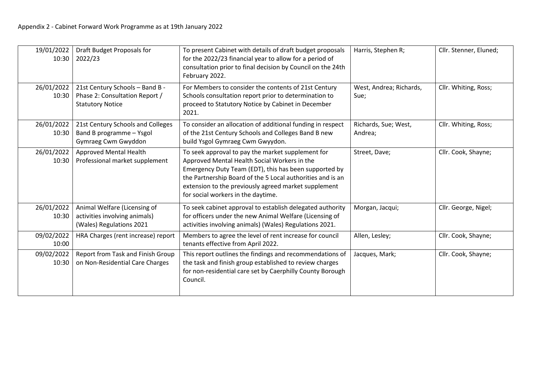| 19/01/2022<br>10:30 | Draft Budget Proposals for<br>2022/23                                                        | To present Cabinet with details of draft budget proposals<br>for the 2022/23 financial year to allow for a period of<br>consultation prior to final decision by Council on the 24th<br>February 2022.                                                                                                                  | Harris, Stephen R;              | Cllr. Stenner, Eluned; |
|---------------------|----------------------------------------------------------------------------------------------|------------------------------------------------------------------------------------------------------------------------------------------------------------------------------------------------------------------------------------------------------------------------------------------------------------------------|---------------------------------|------------------------|
| 26/01/2022<br>10:30 | 21st Century Schools - Band B -<br>Phase 2: Consultation Report /<br><b>Statutory Notice</b> | For Members to consider the contents of 21st Century<br>Schools consultation report prior to determination to<br>proceed to Statutory Notice by Cabinet in December<br>2021.                                                                                                                                           | West, Andrea; Richards,<br>Sue; | Cllr. Whiting, Ross;   |
| 26/01/2022<br>10:30 | 21st Century Schools and Colleges<br>Band B programme - Ysgol<br>Gymraeg Cwm Gwyddon         | To consider an allocation of additional funding in respect<br>of the 21st Century Schools and Colleges Band B new<br>build Ysgol Gymraeg Cwm Gwyydon.                                                                                                                                                                  | Richards, Sue; West,<br>Andrea; | Cllr. Whiting, Ross;   |
| 26/01/2022<br>10:30 | Approved Mental Health<br>Professional market supplement                                     | To seek approval to pay the market supplement for<br>Approved Mental Health Social Workers in the<br>Emergency Duty Team (EDT), this has been supported by<br>the Partnership Board of the 5 Local authorities and is an<br>extension to the previously agreed market supplement<br>for social workers in the daytime. | Street, Dave;                   | Cllr. Cook, Shayne;    |
| 26/01/2022<br>10:30 | Animal Welfare (Licensing of<br>activities involving animals)<br>(Wales) Regulations 2021    | To seek cabinet approval to establish delegated authority<br>for officers under the new Animal Welfare (Licensing of<br>activities involving animals) (Wales) Regulations 2021.                                                                                                                                        | Morgan, Jacqui;                 | Cllr. George, Nigel;   |
| 09/02/2022<br>10:00 | HRA Charges (rent increase) report                                                           | Members to agree the level of rent increase for council<br>tenants effective from April 2022.                                                                                                                                                                                                                          | Allen, Lesley;                  | Cllr. Cook, Shayne;    |
| 09/02/2022<br>10:30 | Report from Task and Finish Group<br>on Non-Residential Care Charges                         | This report outlines the findings and recommendations of<br>the task and finish group established to review charges<br>for non-residential care set by Caerphilly County Borough<br>Council.                                                                                                                           | Jacques, Mark;                  | Cllr. Cook, Shayne;    |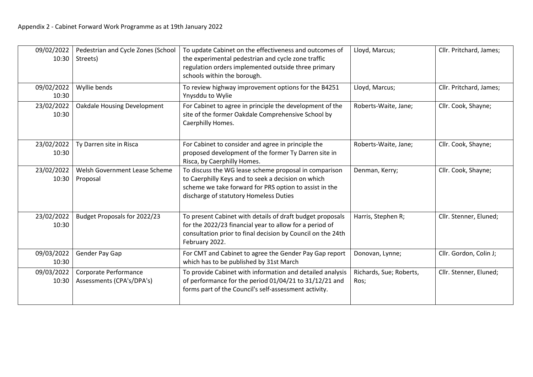| 09/02/2022<br>10:30 | Pedestrian and Cycle Zones (School<br>Streets)     | To update Cabinet on the effectiveness and outcomes of<br>the experimental pedestrian and cycle zone traffic<br>regulation orders implemented outside three primary<br>schools within the borough.              | Lloyd, Marcus;                  | Cllr. Pritchard, James; |
|---------------------|----------------------------------------------------|-----------------------------------------------------------------------------------------------------------------------------------------------------------------------------------------------------------------|---------------------------------|-------------------------|
| 09/02/2022<br>10:30 | Wyllie bends                                       | To review highway improvement options for the B4251<br>Ynysddu to Wylie                                                                                                                                         | Lloyd, Marcus;                  | Cllr. Pritchard, James; |
| 23/02/2022<br>10:30 | <b>Oakdale Housing Development</b>                 | For Cabinet to agree in principle the development of the<br>site of the former Oakdale Comprehensive School by<br>Caerphilly Homes.                                                                             | Roberts-Waite, Jane;            | Cllr. Cook, Shayne;     |
| 23/02/2022<br>10:30 | Ty Darren site in Risca                            | For Cabinet to consider and agree in principle the<br>proposed development of the former Ty Darren site in<br>Risca, by Caerphilly Homes.                                                                       | Roberts-Waite, Jane;            | Cllr. Cook, Shayne;     |
| 23/02/2022<br>10:30 | Welsh Government Lease Scheme<br>Proposal          | To discuss the WG lease scheme proposal in comparison<br>to Caerphilly Keys and to seek a decision on which<br>scheme we take forward for PRS option to assist in the<br>discharge of statutory Homeless Duties | Denman, Kerry;                  | Cllr. Cook, Shayne;     |
| 23/02/2022<br>10:30 | Budget Proposals for 2022/23                       | To present Cabinet with details of draft budget proposals<br>for the 2022/23 financial year to allow for a period of<br>consultation prior to final decision by Council on the 24th<br>February 2022.           | Harris, Stephen R;              | Cllr. Stenner, Eluned;  |
| 09/03/2022<br>10:30 | Gender Pay Gap                                     | For CMT and Cabinet to agree the Gender Pay Gap report<br>which has to be published by 31st March                                                                                                               | Donovan, Lynne;                 | Cllr. Gordon, Colin J;  |
| 09/03/2022<br>10:30 | Corporate Performance<br>Assessments (CPA's/DPA's) | To provide Cabinet with information and detailed analysis<br>of performance for the period 01/04/21 to 31/12/21 and<br>forms part of the Council's self-assessment activity.                                    | Richards, Sue; Roberts,<br>Ros; | Cllr. Stenner, Eluned;  |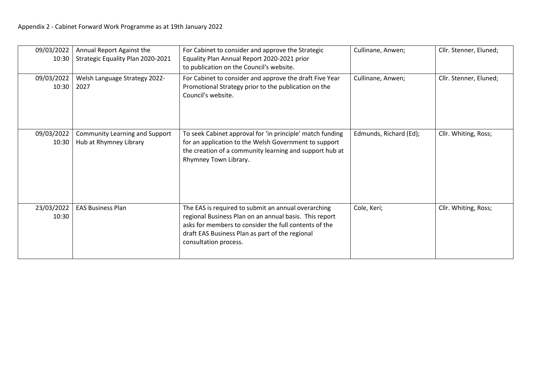| 09/03/2022<br>10:30 | Annual Report Against the<br>Strategic Equality Plan 2020-2021  | For Cabinet to consider and approve the Strategic<br>Equality Plan Annual Report 2020-2021 prior<br>to publication on the Council's website.                                                                                                       | Cullinane, Anwen;      | Cllr. Stenner, Eluned; |
|---------------------|-----------------------------------------------------------------|----------------------------------------------------------------------------------------------------------------------------------------------------------------------------------------------------------------------------------------------------|------------------------|------------------------|
| 09/03/2022<br>10:30 | Welsh Language Strategy 2022-<br>2027                           | For Cabinet to consider and approve the draft Five Year<br>Promotional Strategy prior to the publication on the<br>Council's website.                                                                                                              | Cullinane, Anwen;      | Cllr. Stenner, Eluned; |
| 09/03/2022<br>10:30 | <b>Community Learning and Support</b><br>Hub at Rhymney Library | To seek Cabinet approval for 'in principle' match funding<br>for an application to the Welsh Government to support<br>the creation of a community learning and support hub at<br>Rhymney Town Library.                                             | Edmunds, Richard (Ed); | Cllr. Whiting, Ross;   |
| 23/03/2022<br>10:30 | <b>EAS Business Plan</b>                                        | The EAS is required to submit an annual overarching<br>regional Business Plan on an annual basis. This report<br>asks for members to consider the full contents of the<br>draft EAS Business Plan as part of the regional<br>consultation process. | Cole, Keri;            | Cllr. Whiting, Ross;   |